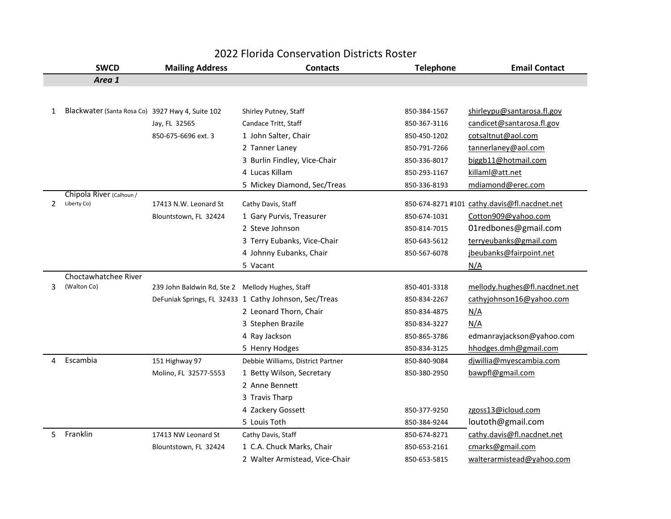|    | 2022 Florida Conservation Districts Roster       |                                                  |                                                       |                  |                                              |  |  |
|----|--------------------------------------------------|--------------------------------------------------|-------------------------------------------------------|------------------|----------------------------------------------|--|--|
|    | <b>SWCD</b>                                      | <b>Mailing Address</b>                           | <b>Contacts</b>                                       | <b>Telephone</b> | <b>Email Contact</b>                         |  |  |
|    | Area 1                                           |                                                  |                                                       |                  |                                              |  |  |
|    |                                                  |                                                  |                                                       |                  |                                              |  |  |
| 1  | Blackwater (Santa Rosa Co) 3927 Hwy 4, Suite 102 |                                                  | Shirley Putney, Staff                                 | 850-384-1567     | shirleypu@santarosa.fl.gov                   |  |  |
|    |                                                  | Jay, FL 32565                                    | Candace Tritt, Staff                                  | 850-367-3116     | candicet@santarosa.fl.gov                    |  |  |
|    |                                                  | 850-675-6696 ext. 3                              | 1 John Salter, Chair                                  | 850-450-1202     | cotsaltnut@aol.com                           |  |  |
|    |                                                  |                                                  | 2 Tanner Laney                                        | 850-791-7266     | tannerlaney@aol.com                          |  |  |
|    |                                                  |                                                  | 3 Burlin Findley, Vice-Chair                          | 850-336-8017     | biggb11@hotmail.com                          |  |  |
|    |                                                  |                                                  | 4 Lucas Killam                                        | 850-293-1167     | killaml@att.net                              |  |  |
|    |                                                  |                                                  | 5 Mickey Diamond, Sec/Treas                           | 850-336-8193     | mdiamond@erec.com                            |  |  |
|    | Chipola River (Calhoun/                          |                                                  |                                                       |                  |                                              |  |  |
| 2  | Liberty Co)                                      | 17413 N.W. Leonard St                            | Cathy Davis, Staff                                    |                  | 850-674-8271 #101 cathy.davis@fl.nacdnet.net |  |  |
|    |                                                  | Blountstown, FL 32424                            | 1 Gary Purvis, Treasurer                              | 850-674-1031     | Cotton909@yahoo.com                          |  |  |
|    |                                                  |                                                  | 2 Steve Johnson                                       | 850-814-7015     | 01redbones@gmail.com                         |  |  |
|    |                                                  |                                                  | 3 Terry Eubanks, Vice-Chair                           | 850-643-5612     | terryeubanks@gmail.com                       |  |  |
|    |                                                  |                                                  | 4 Johnny Eubanks, Chair                               | 850-567-6078     | jbeubanks@fairpoint.net                      |  |  |
|    |                                                  |                                                  | 5 Vacant                                              |                  | N/A                                          |  |  |
|    | Choctawhatchee River                             |                                                  |                                                       |                  |                                              |  |  |
| 3  | (Walton Co)                                      | 239 John Baldwin Rd, Ste 2 Mellody Hughes, Staff |                                                       | 850-401-3318     | mellody.hughes@fl.nacdnet.net                |  |  |
|    |                                                  |                                                  | DeFuniak Springs, FL 32433 1 Cathy Johnson, Sec/Treas | 850-834-2267     | cathyjohnson16@yahoo.com                     |  |  |
|    |                                                  |                                                  | 2 Leonard Thorn, Chair                                | 850-834-4875     | N/A                                          |  |  |
|    |                                                  |                                                  | 3 Stephen Brazile                                     | 850-834-3227     | N/A                                          |  |  |
|    |                                                  |                                                  | 4 Ray Jackson                                         | 850-865-3786     | edmanrayjackson@yahoo.com                    |  |  |
|    |                                                  |                                                  | 5 Henry Hodges                                        | 850-834-3125     | hhodges.dmh@gmail.com                        |  |  |
| 4  | Escambia                                         | 151 Highway 97                                   | Debbie Williams, District Partner                     | 850-840-9084     | diwillia@myescambia.com                      |  |  |
|    |                                                  | Molino, FL 32577-5553                            | 1 Betty Wilson, Secretary                             | 850-380-2950     | bawpfl@gmail.com                             |  |  |
|    |                                                  |                                                  | 2 Anne Bennett                                        |                  |                                              |  |  |
|    |                                                  |                                                  | 3 Travis Tharp                                        |                  |                                              |  |  |
|    |                                                  |                                                  | 4 Zackery Gossett                                     | 850-377-9250     | zgoss13@icloud.com                           |  |  |
|    |                                                  |                                                  | 5 Louis Toth                                          | 850-384-9244     | loutoth@gmail.com                            |  |  |
| 5. | Franklin                                         | 17413 NW Leonard St                              | Cathy Davis, Staff                                    | 850-674-8271     | cathy.davis@fl.nacdnet.net                   |  |  |
|    |                                                  | Blountstown, FL 32424                            | 1 C.A. Chuck Marks, Chair                             | 850-653-2161     | cmarks@gmail.com                             |  |  |
|    |                                                  |                                                  | 2 Walter Armistead, Vice-Chair                        | 850-653-5815     | walterarmistead@yahoo.com                    |  |  |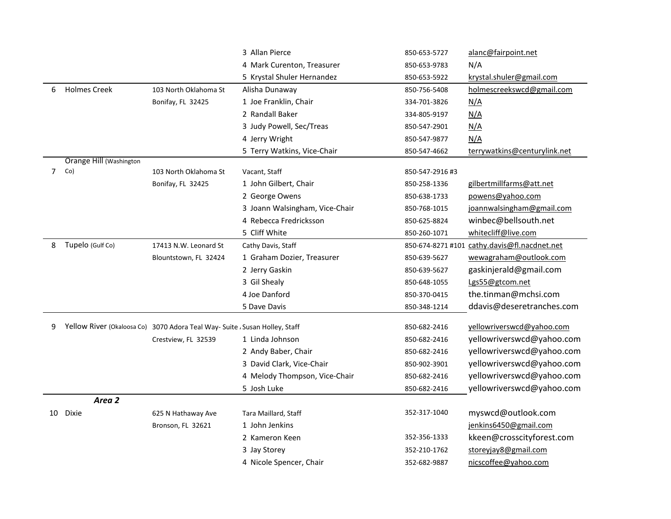|                |                         |                                                                             | 3 Allan Pierce                 | 850-653-5727    | alanc@fairpoint.net                          |
|----------------|-------------------------|-----------------------------------------------------------------------------|--------------------------------|-----------------|----------------------------------------------|
|                |                         |                                                                             | 4 Mark Curenton, Treasurer     | 850-653-9783    | N/A                                          |
|                |                         |                                                                             | 5 Krystal Shuler Hernandez     | 850-653-5922    | krystal.shuler@gmail.com                     |
| 6              | <b>Holmes Creek</b>     | 103 North Oklahoma St                                                       | Alisha Dunaway                 | 850-756-5408    | holmescreekswcd@gmail.com                    |
|                |                         | Bonifay, FL 32425                                                           | 1 Joe Franklin, Chair          | 334-701-3826    | <u>N/A</u>                                   |
|                |                         |                                                                             | 2 Randall Baker                | 334-805-9197    | N/A                                          |
|                |                         |                                                                             | 3 Judy Powell, Sec/Treas       | 850-547-2901    | N/A                                          |
|                |                         |                                                                             | 4 Jerry Wright                 | 850-547-9877    | N/A                                          |
|                |                         |                                                                             | 5 Terry Watkins, Vice-Chair    | 850-547-4662    | terrywatkins@centurylink.net                 |
|                | Orange Hill (Washington |                                                                             |                                |                 |                                              |
| $\overline{7}$ | Co)                     | 103 North Oklahoma St                                                       | Vacant, Staff                  | 850-547-2916 #3 |                                              |
|                |                         | Bonifay, FL 32425                                                           | 1 John Gilbert, Chair          | 850-258-1336    | gilbertmillfarms@att.net                     |
|                |                         |                                                                             | 2 George Owens                 | 850-638-1733    | powens@yahoo.com                             |
|                |                         |                                                                             | 3 Joann Walsingham, Vice-Chair | 850-768-1015    | joannwalsingham@gmail.com                    |
|                |                         |                                                                             | 4 Rebecca Fredricksson         | 850-625-8824    | winbec@bellsouth.net                         |
|                |                         |                                                                             | 5 Cliff White                  | 850-260-1071    | whitecliff@live.com                          |
| 8              | Tupelo (Gulf Co)        | 17413 N.W. Leonard St                                                       | Cathy Davis, Staff             |                 | 850-674-8271 #101 cathy.davis@fl.nacdnet.net |
|                |                         | Blountstown, FL 32424                                                       | 1 Graham Dozier, Treasurer     | 850-639-5627    | wewagraham@outlook.com                       |
|                |                         |                                                                             | 2 Jerry Gaskin                 | 850-639-5627    | gaskinjerald@gmail.com                       |
|                |                         |                                                                             | 3 Gil Shealy                   | 850-648-1055    | Lgs55@gtcom.net                              |
|                |                         |                                                                             | 4 Joe Danford                  | 850-370-0415    | the.tinman@mchsi.com                         |
|                |                         |                                                                             | 5 Dave Davis                   | 850-348-1214    | ddavis@deseretranches.com                    |
| 9              |                         | Yellow River (Okaloosa Co) 3070 Adora Teal Way- Suite , Susan Holley, Staff |                                | 850-682-2416    | yellowriverswcd@yahoo.com                    |
|                |                         | Crestview, FL 32539                                                         | 1 Linda Johnson                | 850-682-2416    | yellowriverswcd@yahoo.com                    |
|                |                         |                                                                             | 2 Andy Baber, Chair            | 850-682-2416    | yellowriverswcd@yahoo.com                    |
|                |                         |                                                                             | 3 David Clark, Vice-Chair      | 850-902-3901    | yellowriverswcd@yahoo.com                    |
|                |                         |                                                                             | 4 Melody Thompson, Vice-Chair  | 850-682-2416    | yellowriverswcd@yahoo.com                    |
|                |                         |                                                                             | 5 Josh Luke                    |                 | yellowriverswcd@yahoo.com                    |
|                | Area 2                  |                                                                             |                                | 850-682-2416    |                                              |
|                | 10 Dixie                | 625 N Hathaway Ave                                                          | Tara Maillard, Staff           | 352-317-1040    | myswcd@outlook.com                           |
|                |                         | Bronson, FL 32621                                                           | 1 John Jenkins                 |                 | jenkins6450@gmail.com                        |
|                |                         |                                                                             | 2 Kameron Keen                 | 352-356-1333    | kkeen@crosscityforest.com                    |
|                |                         |                                                                             |                                |                 |                                              |
|                |                         |                                                                             | 3 Jay Storey                   | 352-210-1762    | storeyjay8@gmail.com                         |
|                |                         |                                                                             | 4 Nicole Spencer, Chair        | 352-682-9887    | nicscoffee@yahoo.com                         |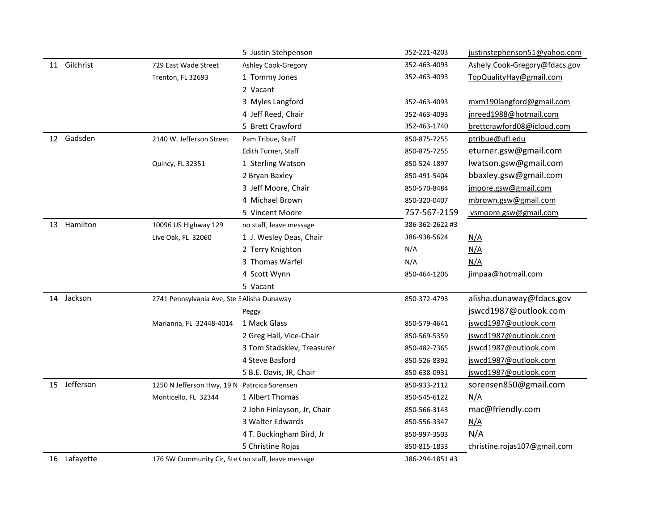|              |                                                    | 5 Justin Stehpenson         | 352-221-4203    | justinstephenson51@yahoo.com  |
|--------------|----------------------------------------------------|-----------------------------|-----------------|-------------------------------|
| 11 Gilchrist | 729 East Wade Street                               | Ashley Cook-Gregory         | 352-463-4093    | Ashely.Cook-Gregory@fdacs.gov |
|              | Trenton, FL 32693                                  | 1 Tommy Jones               | 352-463-4093    | TopQualityHay@gmail.com       |
|              |                                                    | 2 Vacant                    |                 |                               |
|              |                                                    | 3 Myles Langford            | 352-463-4093    | mxm190langford@gmail.com      |
|              |                                                    | 4 Jeff Reed, Chair          | 352-463-4093    | jnreed1988@hotmail.com        |
|              |                                                    | 5 Brett Crawford            | 352-463-1740    | brettcrawford08@icloud.com    |
| 12 Gadsden   | 2140 W. Jefferson Street                           | Pam Tribue, Staff           | 850-875-7255    | ptribue@ufl.edu               |
|              |                                                    | Edith Turner, Staff         | 850-875-7255    | eturner.gsw@gmail.com         |
|              | Quincy, FL 32351                                   | 1 Sterling Watson           | 850-524-1897    | lwatson.gsw@gmail.com         |
|              |                                                    | 2 Bryan Baxley              | 850-491-5404    | bbaxley.gsw@gmail.com         |
|              |                                                    | 3 Jeff Moore, Chair         | 850-570-8484    | jmoore.gsw@gmail.com          |
|              |                                                    | 4 Michael Brown             | 850-320-0407    | mbrown.gsw@gmail.com          |
|              |                                                    | 5 Vincent Moore             | 757-567-2159    | vsmoore.gsw@gmail.com         |
| 13 Hamilton  | 10096 US Highway 129                               | no staff, leave message     | 386-362-2622 #3 |                               |
|              | Live Oak, FL 32060                                 | 1 J. Wesley Deas, Chair     | 386-938-5624    | <u>N/A</u>                    |
|              |                                                    | 2 Terry Knighton            | N/A             | N/A                           |
|              |                                                    | 3 Thomas Warfel             | N/A             | N/A                           |
|              |                                                    | 4 Scott Wynn                | 850-464-1206    | jimpaa@hotmail.com            |
|              |                                                    | 5 Vacant                    |                 |                               |
| 14 Jackson   | 2741 Pennsylvania Ave, Ste 3 Alisha Dunaway        |                             | 850-372-4793    | alisha.dunaway@fdacs.gov      |
|              |                                                    | Peggy                       |                 | jswcd1987@outlook.com         |
|              | Marianna, FL 32448-4014                            | 1 Mack Glass                | 850-579-4641    | jswcd1987@outlook.com         |
|              |                                                    | 2 Greg Hall, Vice-Chair     | 850-569-5359    | jswcd1987@outlook.com         |
|              |                                                    | 3 Tom Stadsklev, Treasurer  | 850-482-7365    | jswcd1987@outlook.com         |
|              |                                                    | 4 Steve Basford             | 850-526-8392    | jswcd1987@outlook.com         |
|              |                                                    | 5 B.E. Davis, JR, Chair     | 850-638-0931    | jswcd1987@outlook.com         |
| 15 Jefferson | 1250 N Jefferson Hwy, 19 N Patrcica Sorensen       |                             | 850-933-2112    | sorensen850@gmail.com         |
|              | Monticello, FL 32344                               | 1 Albert Thomas             | 850-545-6122    | N/A                           |
|              |                                                    | 2 John Finlayson, Jr, Chair | 850-566-3143    | mac@friendly.com              |
|              |                                                    | 3 Walter Edwards            | 850-556-3347    | <u>N/A</u>                    |
|              |                                                    | 4 T. Buckingham Bird, Jr    | 850-997-3503    | N/A                           |
|              |                                                    | 5 Christine Rojas           | 850-815-1833    | christine.rojas107@gmail.com  |
| 16 Lafayette | 176 SW Community Cir, Ste (no staff, leave message |                             | 386-294-1851#3  |                               |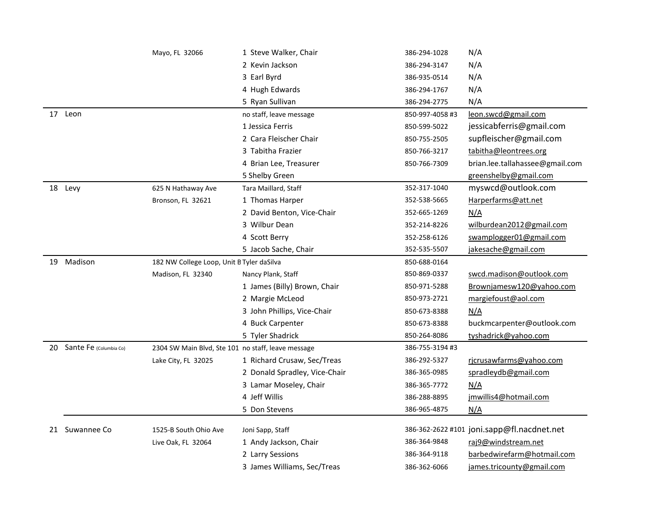|    |                        | Mayo, FL 32066                                     | 1 Steve Walker, Chair                     | 386-294-1028    | N/A                                               |
|----|------------------------|----------------------------------------------------|-------------------------------------------|-----------------|---------------------------------------------------|
|    |                        |                                                    | 2 Kevin Jackson                           | 386-294-3147    | N/A                                               |
|    |                        |                                                    | 3 Earl Byrd                               | 386-935-0514    | N/A                                               |
|    |                        |                                                    | 4 Hugh Edwards                            | 386-294-1767    | N/A                                               |
|    |                        |                                                    | 5 Ryan Sullivan                           | 386-294-2775    | N/A                                               |
|    | 17 Leon                |                                                    | no staff, leave message                   | 850-997-4058 #3 | leon.swcd@gmail.com                               |
|    |                        |                                                    | 1 Jessica Ferris                          | 850-599-5022    | jessicabferris@gmail.com                          |
|    |                        |                                                    | 2 Cara Fleischer Chair                    | 850-755-2505    | supfleischer@gmail.com                            |
|    |                        |                                                    | 3 Tabitha Frazier                         | 850-766-3217    | tabitha@leontrees.org                             |
|    |                        |                                                    | 4 Brian Lee, Treasurer                    | 850-766-7309    | brian.lee.tallahassee@gmail.com                   |
|    |                        |                                                    | 5 Shelby Green                            |                 | greenshelby@gmail.com                             |
|    | 18 Levy                | 625 N Hathaway Ave                                 | Tara Maillard, Staff                      | 352-317-1040    | myswcd@outlook.com                                |
|    |                        | Bronson, FL 32621                                  | 1 Thomas Harper                           | 352-538-5665    | Harperfarms@att.net                               |
|    |                        |                                                    | 2 David Benton, Vice-Chair                | 352-665-1269    | N/A                                               |
|    |                        |                                                    | 3 Wilbur Dean                             | 352-214-8226    | wilburdean2012@gmail.com                          |
|    |                        |                                                    | 4 Scott Berry                             | 352-258-6126    | swamplogger01@gmail.com                           |
|    |                        |                                                    | 5 Jacob Sache, Chair                      | 352-535-5507    | jakesache@gmail.com                               |
|    | 19 Madison             | 182 NW College Loop, Unit B Tyler daSilva          |                                           | 850-688-0164    |                                                   |
|    |                        | Madison, FL 32340                                  | Nancy Plank, Staff                        | 850-869-0337    | swcd.madison@outlook.com                          |
|    |                        |                                                    | 1 James (Billy) Brown, Chair              | 850-971-5288    | Brownjamesw120@yahoo.com                          |
|    |                        |                                                    | 2 Margie McLeod                           | 850-973-2721    | margiefoust@aol.com                               |
|    |                        |                                                    | 3 John Phillips, Vice-Chair               | 850-673-8388    | N/A                                               |
|    |                        |                                                    | 4 Buck Carpenter                          | 850-673-8388    | buckmcarpenter@outlook.com                        |
|    |                        |                                                    | 5 Tyler Shadrick                          | 850-264-8086    | tyshadrick@yahoo.com                              |
| 20 | Sante Fe (Columbia Co) | 2304 SW Main Blvd, Ste 101 no staff, leave message |                                           | 386-755-3194 #3 |                                                   |
|    |                        | Lake City, FL 32025                                | 1 Richard Crusaw, Sec/Treas               | 386-292-5327    | rjcrusawfarms@yahoo.com                           |
|    |                        |                                                    | 2 Donald Spradley, Vice-Chair             | 386-365-0985    | spradleydb@gmail.com                              |
|    |                        |                                                    | 3 Lamar Moseley, Chair                    | 386-365-7772    | N/A                                               |
|    |                        |                                                    | 4 Jeff Willis                             | 386-288-8895    | jmwillis4@hotmail.com                             |
|    |                        |                                                    | 5 Don Stevens                             | 386-965-4875    | N/A                                               |
|    | 21 Suwannee Co         |                                                    |                                           |                 | 386-362-2622 #101 joni.sapp@fl.nacdnet.net        |
|    |                        | 1525-B South Ohio Ave                              | Joni Sapp, Staff                          | 386-364-9848    |                                                   |
|    |                        | Live Oak, FL 32064                                 | 1 Andy Jackson, Chair<br>2 Larry Sessions | 386-364-9118    | raj9@windstream.net<br>barbedwirefarm@hotmail.com |
|    |                        |                                                    |                                           |                 |                                                   |
|    |                        |                                                    | 3 James Williams, Sec/Treas               | 386-362-6066    | james.tricounty@gmail.com                         |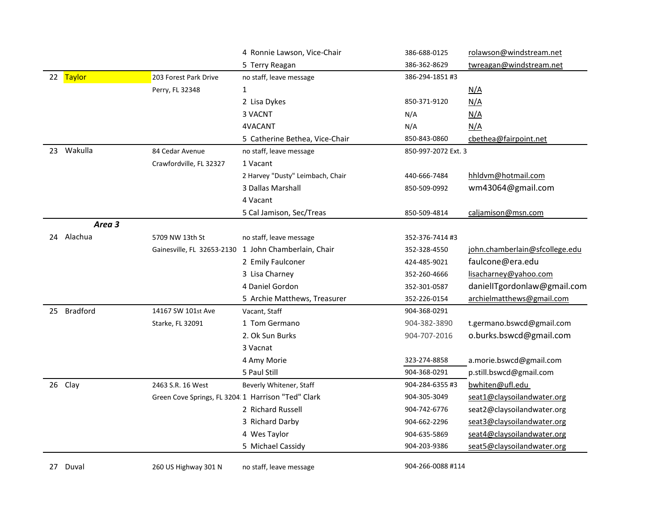|    |                 |                                                    | 4 Ronnie Lawson, Vice-Chair                          | 386-688-0125        | rolawson@windstream.net        |
|----|-----------------|----------------------------------------------------|------------------------------------------------------|---------------------|--------------------------------|
|    |                 |                                                    | 5 Terry Reagan                                       | 386-362-8629        | twreagan@windstream.net        |
|    | 22 Taylor       | 203 Forest Park Drive                              | no staff, leave message                              | 386-294-1851#3      |                                |
|    |                 | Perry, FL 32348                                    | $\mathbf{1}$                                         |                     | <u>N/A</u>                     |
|    |                 |                                                    | 2 Lisa Dykes                                         | 850-371-9120        | N/A                            |
|    |                 |                                                    | 3 VACNT                                              | N/A                 | N/A                            |
|    |                 |                                                    | 4VACANT                                              | N/A                 | N/A                            |
|    |                 |                                                    | 5 Catherine Bethea, Vice-Chair                       | 850-843-0860        | cbethea@fairpoint.net          |
| 23 | Wakulla         | 84 Cedar Avenue                                    | no staff, leave message                              | 850-997-2072 Ext. 3 |                                |
|    |                 | Crawfordville, FL 32327                            | 1 Vacant                                             |                     |                                |
|    |                 |                                                    | 2 Harvey "Dusty" Leimbach, Chair                     | 440-666-7484        | hhldvm@hotmail.com             |
|    |                 |                                                    | 3 Dallas Marshall                                    | 850-509-0992        | wm43064@gmail.com              |
|    |                 |                                                    | 4 Vacant                                             |                     |                                |
|    |                 |                                                    | 5 Cal Jamison, Sec/Treas                             | 850-509-4814        | caljamison@msn.com             |
|    | Area 3          |                                                    |                                                      |                     |                                |
| 24 | Alachua         | 5709 NW 13th St                                    | no staff, leave message                              | 352-376-7414 #3     |                                |
|    |                 |                                                    | Gainesville, FL 32653-2130 1 John Chamberlain, Chair | 352-328-4550        | john.chamberlain@sfcollege.edu |
|    |                 |                                                    | 2 Emily Faulconer                                    | 424-485-9021        | faulcone@era.edu               |
|    |                 |                                                    | 3 Lisa Charney                                       | 352-260-4666        | lisacharney@yahoo.com          |
|    |                 |                                                    | 4 Daniel Gordon                                      | 352-301-0587        | daniellTgordonlaw@gmail.com    |
|    |                 |                                                    | 5 Archie Matthews, Treasurer                         | 352-226-0154        | archielmatthews@gmail.com      |
| 25 | <b>Bradford</b> | 14167 SW 101st Ave                                 | Vacant, Staff                                        | 904-368-0291        |                                |
|    |                 | Starke, FL 32091                                   | 1 Tom Germano                                        | 904-382-3890        | t.germano.bswcd@gmail.com      |
|    |                 |                                                    | 2. Ok Sun Burks                                      | 904-707-2016        | o.burks.bswcd@gmail.com        |
|    |                 |                                                    | 3 Vacnat                                             |                     |                                |
|    |                 |                                                    | 4 Amy Morie                                          | 323-274-8858        | a.morie.bswcd@gmail.com        |
|    |                 |                                                    | 5 Paul Still                                         | 904-368-0291        | p.still.bswcd@gmail.com        |
|    | 26 Clay         | 2463 S.R. 16 West                                  | Beverly Whitener, Staff                              | 904-284-6355 #3     | bwhiten@ufl.edu                |
|    |                 | Green Cove Springs, FL 3204:1 Harrison "Ted" Clark |                                                      | 904-305-3049        | seat1@claysoilandwater.org     |
|    |                 |                                                    | 2 Richard Russell                                    | 904-742-6776        | seat2@claysoilandwater.org     |
|    |                 |                                                    | 3 Richard Darby                                      | 904-662-2296        | seat3@claysoilandwater.org     |
|    |                 |                                                    | 4 Wes Taylor                                         | 904-635-5869        | seat4@claysoilandwater.org     |
|    |                 |                                                    | 5 Michael Cassidy                                    | 904-203-9386        | seat5@claysoilandwater.org     |
| 27 | Duval           | 260 US Highway 301 N                               | no staff, leave message                              | 904-266-0088 #114   |                                |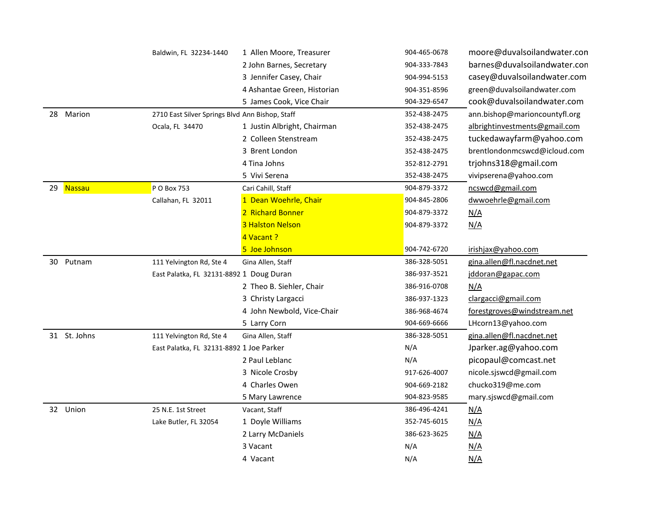|    |               | Baldwin, FL 32234-1440                          | 1 Allen Moore, Treasurer    | 904-465-0678 | moore@duvalsoilandwater.con   |
|----|---------------|-------------------------------------------------|-----------------------------|--------------|-------------------------------|
|    |               |                                                 | 2 John Barnes, Secretary    | 904-333-7843 | barnes@duvalsoilandwater.con  |
|    |               |                                                 | 3 Jennifer Casey, Chair     | 904-994-5153 | casey@duvalsoilandwater.com   |
|    |               |                                                 | 4 Ashantae Green, Historian | 904-351-8596 | green@duvalsoilandwater.com   |
|    |               |                                                 | 5 James Cook, Vice Chair    | 904-329-6547 | cook@duvalsoilandwater.com    |
|    | 28 Marion     | 2710 East Silver Springs Blvd Ann Bishop, Staff |                             | 352-438-2475 | ann.bishop@marioncountyfl.org |
|    |               | Ocala, FL 34470                                 | 1 Justin Albright, Chairman | 352-438-2475 | albrightinvestments@gmail.com |
|    |               |                                                 | 2 Colleen Stenstream        | 352-438-2475 | tuckedawayfarm@yahoo.com      |
|    |               |                                                 | 3 Brent London              | 352-438-2475 | brentlondonmcswcd@icloud.com  |
|    |               |                                                 | 4 Tina Johns                | 352-812-2791 | trjohns318@gmail.com          |
|    |               |                                                 | 5 Vivi Serena               | 352-438-2475 | vivipserena@yahoo.com         |
| 29 | <b>Nassau</b> | P O Box 753                                     | Cari Cahill, Staff          | 904-879-3372 | ncswcd@gmail.com              |
|    |               | Callahan, FL 32011                              | 1 Dean Woehrle, Chair       | 904-845-2806 | dwwoehrle@gmail.com           |
|    |               |                                                 | 2 Richard Bonner            | 904-879-3372 | N/A                           |
|    |               |                                                 | <b>3 Halston Nelson</b>     | 904-879-3372 | N/A                           |
|    |               |                                                 | 4 Vacant ?                  |              |                               |
|    |               |                                                 | 5 Joe Johnson               | 904-742-6720 | irishjax@yahoo.com            |
| 30 | Putnam        | 111 Yelvington Rd, Ste 4                        | Gina Allen, Staff           | 386-328-5051 | gina.allen@fl.nacdnet.net     |
|    |               | East Palatka, FL 32131-8892 1 Doug Duran        |                             | 386-937-3521 | jddoran@gapac.com             |
|    |               |                                                 | 2 Theo B. Siehler, Chair    | 386-916-0708 | N/A                           |
|    |               |                                                 | 3 Christy Largacci          | 386-937-1323 | clargacci@gmail.com           |
|    |               |                                                 | 4 John Newbold, Vice-Chair  | 386-968-4674 | forestgroves@windstream.net   |
|    |               |                                                 | 5 Larry Corn                | 904-669-6666 | LHcorn13@yahoo.com            |
|    | 31 St. Johns  | 111 Yelvington Rd, Ste 4                        | Gina Allen, Staff           | 386-328-5051 | gina.allen@fl.nacdnet.net     |
|    |               | East Palatka, FL 32131-8892 1 Joe Parker        |                             | N/A          | Jparker.ag@yahoo.com          |
|    |               |                                                 | 2 Paul Leblanc              | N/A          | picopaul@comcast.net          |
|    |               |                                                 | 3 Nicole Crosby             | 917-626-4007 | nicole.sjswcd@gmail.com       |
|    |               |                                                 | 4 Charles Owen              | 904-669-2182 | chucko319@me.com              |
|    |               |                                                 | 5 Mary Lawrence             | 904-823-9585 | mary.sjswcd@gmail.com         |
|    | 32 Union      | 25 N.E. 1st Street                              | Vacant, Staff               | 386-496-4241 | N/A                           |
|    |               | Lake Butler, FL 32054                           | 1 Doyle Williams            | 352-745-6015 | N/A                           |
|    |               |                                                 | 2 Larry McDaniels           | 386-623-3625 | N/A                           |
|    |               |                                                 | 3 Vacant                    | N/A          | N/A                           |
|    |               |                                                 | 4 Vacant                    | N/A          | N/A                           |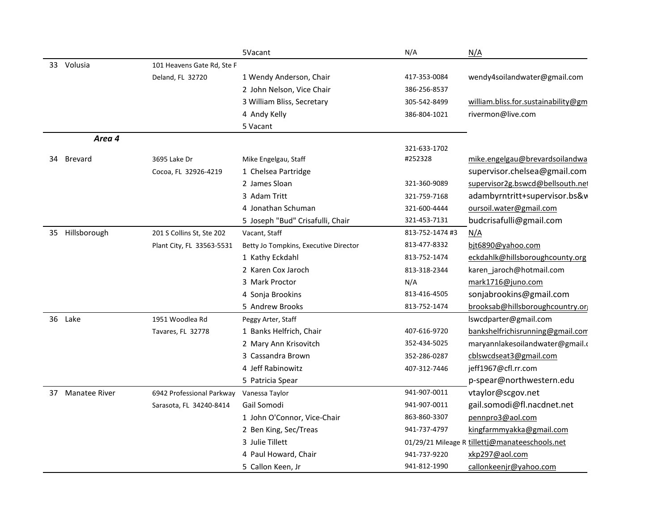|    |                      |                            | 5Vacant                               | N/A             | N/A                                            |
|----|----------------------|----------------------------|---------------------------------------|-----------------|------------------------------------------------|
|    | 33 Volusia           | 101 Heavens Gate Rd, Ste F |                                       |                 |                                                |
|    |                      | Deland, FL 32720           | 1 Wendy Anderson, Chair               | 417-353-0084    | wendy4soilandwater@gmail.com                   |
|    |                      |                            | 2 John Nelson, Vice Chair             | 386-256-8537    |                                                |
|    |                      |                            | 3 William Bliss, Secretary            | 305-542-8499    | william.bliss.for.sustainability@gm            |
|    |                      |                            | 4 Andy Kelly                          | 386-804-1021    | rivermon@live.com                              |
|    |                      |                            | 5 Vacant                              |                 |                                                |
|    | Area 4               |                            |                                       |                 |                                                |
|    |                      |                            |                                       | 321-633-1702    |                                                |
| 34 | <b>Brevard</b>       | 3695 Lake Dr               | Mike Engelgau, Staff                  | #252328         | mike.engelgau@brevardsoilandwa                 |
|    |                      | Cocoa, FL 32926-4219       | 1 Chelsea Partridge                   |                 | supervisor.chelsea@gmail.com                   |
|    |                      |                            | 2 James Sloan                         | 321-360-9089    | supervisor2g.bswcd@bellsouth.net               |
|    |                      |                            | 3 Adam Tritt                          | 321-759-7168    | adambyrntritt+supervisor.bs&v                  |
|    |                      |                            | 4 Jonathan Schuman                    | 321-600-4444    | oursoil.water@gmail.com                        |
|    |                      |                            | 5 Joseph "Bud" Crisafulli, Chair      | 321-453-7131    | budcrisafulli@gmail.com                        |
|    | 35 Hillsborough      | 201 S Collins St, Ste 202  | Vacant, Staff                         | 813-752-1474 #3 | N/A                                            |
|    |                      | Plant City, FL 33563-5531  | Betty Jo Tompkins, Executive Director | 813-477-8332    | bjt6890@yahoo.com                              |
|    |                      |                            | 1 Kathy Eckdahl                       | 813-752-1474    | eckdahlk@hillsboroughcounty.org                |
|    |                      |                            | 2 Karen Cox Jaroch                    | 813-318-2344    | karen_jaroch@hotmail.com                       |
|    |                      |                            | 3 Mark Proctor                        | N/A             | mark1716@juno.com                              |
|    |                      |                            | 4 Sonja Brookins                      | 813-416-4505    | sonjabrookins@gmail.com                        |
|    |                      |                            | 5 Andrew Brooks                       | 813-752-1474    | brooksab@hillsboroughcountry.or                |
|    | 36 Lake              | 1951 Woodlea Rd            | Peggy Arter, Staff                    |                 | lswcdparter@gmail.com                          |
|    |                      | Tavares, FL 32778          | 1 Banks Helfrich, Chair               | 407-616-9720    | bankshelfrichisrunning@gmail.com               |
|    |                      |                            | 2 Mary Ann Krisovitch                 | 352-434-5025    | maryannlakesoilandwater@gmail.c                |
|    |                      |                            | 3 Cassandra Brown                     | 352-286-0287    | cblswcdseat3@gmail.com                         |
|    |                      |                            | 4 Jeff Rabinowitz                     | 407-312-7446    | jeff1967@cfl.rr.com                            |
|    |                      |                            | 5 Patricia Spear                      |                 | p-spear@northwestern.edu                       |
| 37 | <b>Manatee River</b> | 6942 Professional Parkway  | Vanessa Taylor                        | 941-907-0011    | vtaylor@scgov.net                              |
|    |                      | Sarasota, FL 34240-8414    | Gail Somodi                           | 941-907-0011    | gail.somodi@fl.nacdnet.net                     |
|    |                      |                            | 1 John O'Connor, Vice-Chair           | 863-860-3307    | pennpro3@aol.com                               |
|    |                      |                            | 2 Ben King, Sec/Treas                 | 941-737-4797    | kingfarmmyakka@gmail.com                       |
|    |                      |                            | 3 Julie Tillett                       |                 | 01/29/21 Mileage R tillettj@manateeschools.net |
|    |                      |                            | 4 Paul Howard, Chair                  | 941-737-9220    | xkp297@aol.com                                 |
|    |                      |                            | 5 Callon Keen, Jr                     | 941-812-1990    | callonkeenjr@yahoo.com                         |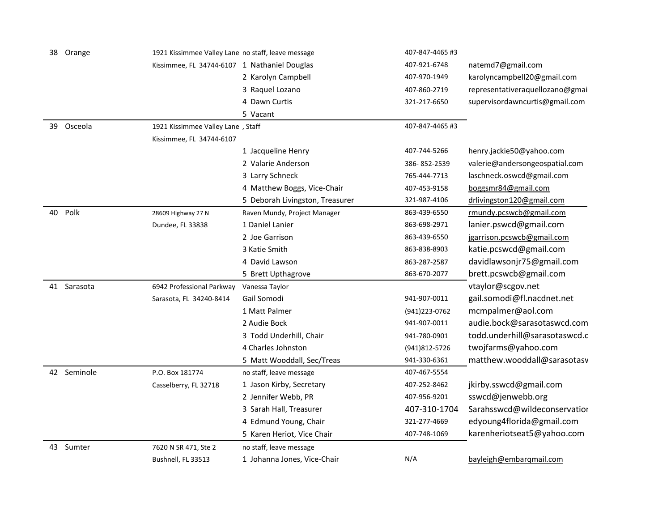| 38 | Orange      | 1921 Kissimmee Valley Lane no staff, leave message |                                 | 407-847-4465 #3 |                                 |
|----|-------------|----------------------------------------------------|---------------------------------|-----------------|---------------------------------|
|    |             | Kissimmee, FL 34744-6107 1 Nathaniel Douglas       |                                 | 407-921-6748    | natemd7@gmail.com               |
|    |             |                                                    | 2 Karolyn Campbell              | 407-970-1949    | karolyncampbell20@gmail.com     |
|    |             |                                                    | 3 Raquel Lozano                 | 407-860-2719    | representativeraquellozano@gmai |
|    |             |                                                    | 4 Dawn Curtis                   | 321-217-6650    | supervisordawncurtis@gmail.com  |
|    |             |                                                    | 5 Vacant                        |                 |                                 |
| 39 | Osceola     | 1921 Kissimmee Valley Lane, Staff                  |                                 | 407-847-4465 #3 |                                 |
|    |             | Kissimmee, FL 34744-6107                           |                                 |                 |                                 |
|    |             |                                                    | 1 Jacqueline Henry              | 407-744-5266    | henry.jackie50@yahoo.com        |
|    |             |                                                    | 2 Valarie Anderson              | 386-852-2539    | valerie@andersongeospatial.com  |
|    |             |                                                    | 3 Larry Schneck                 | 765-444-7713    | laschneck.oswcd@gmail.com       |
|    |             |                                                    | 4 Matthew Boggs, Vice-Chair     | 407-453-9158    | boggsmr84@gmail.com             |
|    |             |                                                    | 5 Deborah Livingston, Treasurer | 321-987-4106    | drlivingston120@gmail.com       |
| 40 | Polk        | 28609 Highway 27 N                                 | Raven Mundy, Project Manager    | 863-439-6550    | rmundy.pcswcb@gmail.com         |
|    |             | Dundee, FL 33838                                   | 1 Daniel Lanier                 | 863-698-2971    | lanier.pswcd@gmail.com          |
|    |             |                                                    | 2 Joe Garrison                  | 863-439-6550    | jgarrison.pcswcb@gmail.com      |
|    |             |                                                    | 3 Katie Smith                   | 863-838-8903    | katie.pcswcd@gmail.com          |
|    |             |                                                    | 4 David Lawson                  | 863-287-2587    | davidlawsonjr75@gmail.com       |
|    |             |                                                    | 5 Brett Upthagrove              | 863-670-2077    | brett.pcswcb@gmail.com          |
|    | 41 Sarasota | 6942 Professional Parkway                          | Vanessa Taylor                  |                 | vtaylor@scgov.net               |
|    |             | Sarasota, FL 34240-8414                            | Gail Somodi                     | 941-907-0011    | gail.somodi@fl.nacdnet.net      |
|    |             |                                                    | 1 Matt Palmer                   | (941) 223-0762  | mcmpalmer@aol.com               |
|    |             |                                                    | 2 Audie Bock                    | 941-907-0011    | audie.bock@sarasotaswcd.com     |
|    |             |                                                    | 3 Todd Underhill, Chair         | 941-780-0901    | todd.underhill@sarasotaswcd.c   |
|    |             |                                                    | 4 Charles Johnston              | (941)812-5726   | twojfarms@yahoo.com             |
|    |             |                                                    | 5 Matt Wooddall, Sec/Treas      | 941-330-6361    | matthew.wooddall@sarasotasv     |
|    | 42 Seminole | P.O. Box 181774                                    | no staff, leave message         | 407-467-5554    |                                 |
|    |             | Casselberry, FL 32718                              | 1 Jason Kirby, Secretary        | 407-252-8462    | jkirby.sswcd@gmail.com          |
|    |             |                                                    | 2 Jennifer Webb, PR             | 407-956-9201    | sswcd@jenwebb.org               |
|    |             |                                                    | 3 Sarah Hall, Treasurer         | 407-310-1704    | Sarahsswcd@wildeconservation    |
|    |             |                                                    | 4 Edmund Young, Chair           | 321-277-4669    | edyoung4florida@gmail.com       |
|    |             |                                                    | 5 Karen Heriot, Vice Chair      | 407-748-1069    | karenheriotseat5@yahoo.com      |
|    | 43 Sumter   | 7620 N SR 471, Ste 2                               | no staff, leave message         |                 |                                 |
|    |             | Bushnell, FL 33513                                 | 1 Johanna Jones, Vice-Chair     | N/A             | bayleigh@embarqmail.com         |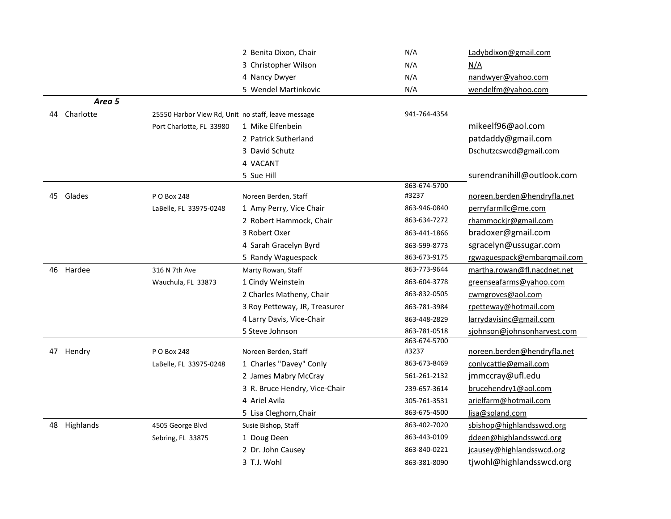|                 |                                                    | 2 Benita Dixon, Chair         | N/A                   | Ladybdixon@gmail.com        |
|-----------------|----------------------------------------------------|-------------------------------|-----------------------|-----------------------------|
|                 |                                                    | 3 Christopher Wilson          | N/A                   | N/A                         |
|                 |                                                    | 4 Nancy Dwyer                 | N/A                   | nandwyer@yahoo.com          |
|                 |                                                    | 5 Wendel Martinkovic          | N/A                   | wendelfm@yahoo.com          |
| Area 5          |                                                    |                               |                       |                             |
| Charlotte<br>44 | 25550 Harbor View Rd, Unit no staff, leave message |                               | 941-764-4354          |                             |
|                 | Port Charlotte, FL 33980                           | 1 Mike Elfenbein              |                       | mikeelf96@aol.com           |
|                 |                                                    | 2 Patrick Sutherland          |                       | patdaddy@gmail.com          |
|                 |                                                    | 3 David Schutz                |                       | Dschutzcswcd@gmail.com      |
|                 |                                                    | 4 VACANT                      |                       |                             |
|                 |                                                    | 5 Sue Hill                    |                       | surendranihill@outlook.com  |
|                 |                                                    |                               | 863-674-5700          |                             |
| 45 Glades       | P O Box 248                                        | Noreen Berden, Staff          | #3237                 | noreen.berden@hendryfla.net |
|                 | LaBelle, FL 33975-0248                             | 1 Amy Perry, Vice Chair       | 863-946-0840          | perryfarmllc@me.com         |
|                 |                                                    | 2 Robert Hammock, Chair       | 863-634-7272          | rhammockjr@gmail.com        |
|                 |                                                    | 3 Robert Oxer                 | 863-441-1866          | bradoxer@gmail.com          |
|                 |                                                    | 4 Sarah Gracelyn Byrd         | 863-599-8773          | sgracelyn@ussugar.com       |
|                 |                                                    | 5 Randy Waguespack            | 863-673-9175          | rgwaguespack@embarqmail.com |
| 46 Hardee       | 316 N 7th Ave                                      | Marty Rowan, Staff            | 863-773-9644          | martha.rowan@fl.nacdnet.net |
|                 | Wauchula, FL 33873                                 | 1 Cindy Weinstein             | 863-604-3778          | greenseafarms@yahoo.com     |
|                 |                                                    | 2 Charles Matheny, Chair      | 863-832-0505          | cwmgroves@aol.com           |
|                 |                                                    | 3 Roy Petteway, JR, Treasurer | 863-781-3984          | rpetteway@hotmail.com       |
|                 |                                                    | 4 Larry Davis, Vice-Chair     | 863-448-2829          | larrydavisinc@gmail.com     |
|                 |                                                    | 5 Steve Johnson               | 863-781-0518          | sjohnson@johnsonharvest.com |
| 47 Hendry       | P O Box 248                                        | Noreen Berden, Staff          | 863-674-5700<br>#3237 | noreen.berden@hendryfla.net |
|                 | LaBelle, FL 33975-0248                             | 1 Charles "Davey" Conly       | 863-673-8469          | conlycattle@gmail.com       |
|                 |                                                    | 2 James Mabry McCray          | 561-261-2132          | jmmccray@ufl.edu            |
|                 |                                                    | 3 R. Bruce Hendry, Vice-Chair | 239-657-3614          | brucehendry1@aol.com        |
|                 |                                                    | 4 Ariel Avila                 | 305-761-3531          | arielfarm@hotmail.com       |
|                 |                                                    | 5 Lisa Cleghorn, Chair        | 863-675-4500          | lisa@soland.com             |
| 48 Highlands    | 4505 George Blvd                                   | Susie Bishop, Staff           | 863-402-7020          | sbishop@highlandsswcd.org   |
|                 | Sebring, FL 33875                                  | 1 Doug Deen                   | 863-443-0109          | ddeen@highlandsswcd.org     |
|                 |                                                    | 2 Dr. John Causey             | 863-840-0221          | jcausey@highlandsswcd.org   |
|                 |                                                    | 3 T.J. Wohl                   |                       | tjwohl@highlandsswcd.org    |
|                 |                                                    |                               | 863-381-8090          |                             |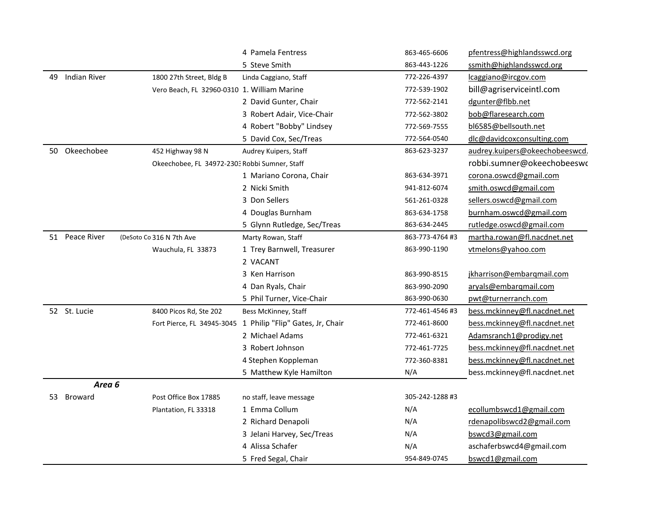|     |                |                                               | 4 Pamela Fentress                                           | 863-465-6606    | pfentress@highlandsswcd.org    |
|-----|----------------|-----------------------------------------------|-------------------------------------------------------------|-----------------|--------------------------------|
|     |                |                                               | 5 Steve Smith                                               | 863-443-1226    | ssmith@highlandsswcd.org       |
| 49  | Indian River   | 1800 27th Street, Bldg B                      | Linda Caggiano, Staff                                       | 772-226-4397    | lcaggiano@ircgov.com           |
|     |                | Vero Beach, FL 32960-0310 1. William Marine   |                                                             | 772-539-1902    | bill@agriserviceintl.com       |
|     |                |                                               | 2 David Gunter, Chair                                       | 772-562-2141    | dgunter@flbb.net               |
|     |                |                                               | 3 Robert Adair, Vice-Chair                                  | 772-562-3802    | bob@flaresearch.com            |
|     |                |                                               | 4 Robert "Bobby" Lindsey                                    | 772-569-7555    | bl6585@bellsouth.net           |
|     |                |                                               | 5 David Cox, Sec/Treas                                      | 772-564-0540    | dlc@davidcoxconsulting.com     |
| 50  | Okeechobee     | 452 Highway 98 N                              | Audrey Kuipers, Staff                                       | 863-623-3237    | audrey.kuipers@okeechobeeswcd. |
|     |                | Okeechobee, FL 34972-2303 Robbi Sumner, Staff |                                                             |                 | robbi.sumner@okeechobeeswo     |
|     |                |                                               | 1 Mariano Corona, Chair                                     | 863-634-3971    | corona.oswcd@gmail.com         |
|     |                |                                               | 2 Nicki Smith                                               | 941-812-6074    | smith.oswcd@gmail.com          |
|     |                |                                               | 3 Don Sellers                                               | 561-261-0328    | sellers.oswcd@gmail.com        |
|     |                |                                               | 4 Douglas Burnham                                           | 863-634-1758    | burnham.oswcd@gmail.com        |
|     |                |                                               | 5 Glynn Rutledge, Sec/Treas                                 | 863-634-2445    | rutledge.oswcd@gmail.com       |
| 51  | Peace River    | (DeSoto Co 316 N 7th Ave                      | Marty Rowan, Staff                                          | 863-773-4764 #3 | martha.rowan@fl.nacdnet.net    |
|     |                | Wauchula, FL 33873                            | 1 Trey Barnwell, Treasurer                                  | 863-990-1190    | vtmelons@yahoo.com             |
|     |                |                                               | 2 VACANT                                                    |                 |                                |
|     |                |                                               | 3 Ken Harrison                                              | 863-990-8515    | jkharrison@embarqmail.com      |
|     |                |                                               | 4 Dan Ryals, Chair                                          | 863-990-2090    | aryals@embarqmail.com          |
|     |                |                                               | 5 Phil Turner, Vice-Chair                                   | 863-990-0630    | pwt@turnerranch.com            |
|     | 52 St. Lucie   | 8400 Picos Rd, Ste 202                        | Bess McKinney, Staff                                        | 772-461-4546 #3 | bess.mckinney@fl.nacdnet.net   |
|     |                |                                               | Fort Pierce, FL 34945-3045 1 Philip "Flip" Gates, Jr, Chair | 772-461-8600    | bess.mckinney@fl.nacdnet.net   |
|     |                |                                               | 2 Michael Adams                                             | 772-461-6321    | Adamsranch1@prodigy.net        |
|     |                |                                               | 3 Robert Johnson                                            | 772-461-7725    | bess.mckinney@fl.nacdnet.net   |
|     |                |                                               | 4 Stephen Koppleman                                         | 772-360-8381    | bess.mckinney@fl.nacdnet.net   |
|     |                |                                               | 5 Matthew Kyle Hamilton                                     | N/A             | bess.mckinney@fl.nacdnet.net   |
|     | Area 6         |                                               |                                                             |                 |                                |
| 53. | <b>Broward</b> | Post Office Box 17885                         | no staff, leave message                                     | 305-242-1288 #3 |                                |
|     |                | Plantation, FL 33318                          | 1 Emma Collum                                               | N/A             | ecollumbswcd1@gmail.com        |
|     |                |                                               | 2 Richard Denapoli                                          | N/A             | rdenapolibswcd2@gmail.com      |
|     |                |                                               | 3 Jelani Harvey, Sec/Treas                                  | N/A             | bswcd3@gmail.com               |
|     |                |                                               | 4 Alissa Schafer                                            | N/A             | aschaferbswcd4@gmail.com       |
|     |                |                                               | 5 Fred Segal, Chair                                         | 954-849-0745    | bswcd1@gmail.com               |